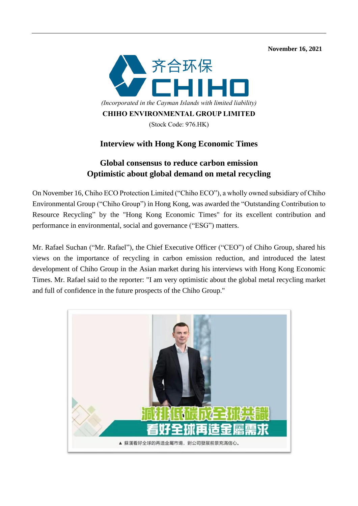**November 16, 2021** 



## **Interview with Hong Kong Economic Times**

## **Global consensus to reduce carbon emission Optimistic about global demand on metal recycling**

On November 16, Chiho ECO Protection Limited ("Chiho ECO"), a wholly owned subsidiary of Chiho Environmental Group ("Chiho Group") in Hong Kong, was awarded the "Outstanding Contribution to Resource Recycling" by the "Hong Kong Economic Times" for its excellent contribution and performance in environmental, social and governance ("ESG") matters.

Mr. Rafael Suchan ("Mr. Rafael"), the Chief Executive Officer ("CEO") of Chiho Group, shared his views on the importance of recycling in carbon emission reduction, and introduced the latest development of Chiho Group in the Asian market during his interviews with Hong Kong Economic Times. Mr. Rafael said to the reporter: "I am very optimistic about the global metal recycling market and full of confidence in the future prospects of the Chiho Group."

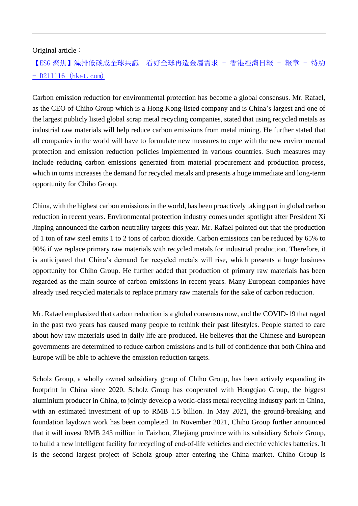#### Original article:

# 【ESG [聚焦】減排低碳成全球共識](https://paper.hket.com/article/3105721?r=cpsdem) 看好全球再造金屬需求 - 香港經濟日報 - 報章 - 特約 - [D211116 \(hket.com\)](https://paper.hket.com/article/3105721?r=cpsdem)

Carbon emission reduction for environmental protection has become a global consensus. Mr. Rafael, as the CEO of Chiho Group which is a Hong Kong-listed company and is China's largest and one of the largest publicly listed global scrap metal recycling companies, stated that using recycled metals as industrial raw materials will help reduce carbon emissions from metal mining. He further stated that all companies in the world will have to formulate new measures to cope with the new environmental protection and emission reduction policies implemented in various countries. Such measures may include reducing carbon emissions generated from material procurement and production process, which in turns increases the demand for recycled metals and presents a huge immediate and long-term opportunity for Chiho Group.

China, with the highest carbon emissions in the world, has been proactively taking part in global carbon reduction in recent years. Environmental protection industry comes under spotlight after President Xi Jinping announced the carbon neutrality targets this year. Mr. Rafael pointed out that the production of 1 ton of raw steel emits 1 to 2 tons of carbon dioxide. Carbon emissions can be reduced by 65% to 90% if we replace primary raw materials with recycled metals for industrial production. Therefore, it is anticipated that China's demand for recycled metals will rise, which presents a huge business opportunity for Chiho Group. He further added that production of primary raw materials has been regarded as the main source of carbon emissions in recent years. Many European companies have already used recycled materials to replace primary raw materials for the sake of carbon reduction.

Mr. Rafael emphasized that carbon reduction is a global consensus now, and the COVID-19 that raged in the past two years has caused many people to rethink their past lifestyles. People started to care about how raw materials used in daily life are produced. He believes that the Chinese and European governments are determined to reduce carbon emissions and is full of confidence that both China and Europe will be able to achieve the emission reduction targets.

Scholz Group, a wholly owned subsidiary group of Chiho Group, has been actively expanding its footprint in China since 2020. Scholz Group has cooperated with Hongqiao Group, the biggest aluminium producer in China, to jointly develop a world-class metal recycling industry park in China, with an estimated investment of up to RMB 1.5 billion. In May 2021, the ground-breaking and foundation laydown work has been completed. In November 2021, Chiho Group further announced that it will invest RMB 243 million in Taizhou, Zhejiang province with its subsidiary Scholz Group, to build a new intelligent facility for recycling of end-of-life vehicles and electric vehicles batteries. It is the second largest project of Scholz group after entering the China market. Chiho Group is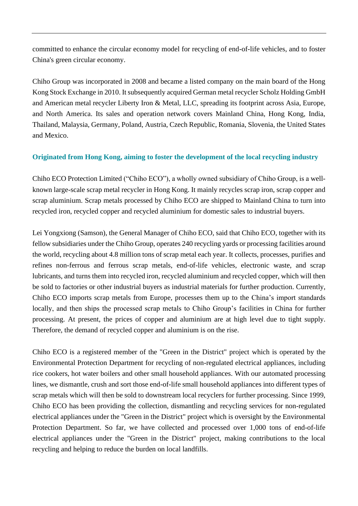committed to enhance the circular economy model for recycling of end-of-life vehicles, and to foster China's green circular economy.

Chiho Group was incorporated in 2008 and became a listed company on the main board of the Hong Kong Stock Exchange in 2010. It subsequently acquired German metal recycler Scholz Holding GmbH and American metal recycler Liberty Iron & Metal, LLC, spreading its footprint across Asia, Europe, and North America. Its sales and operation network covers Mainland China, Hong Kong, India, Thailand, Malaysia, Germany, Poland, Austria, Czech Republic, Romania, Slovenia, the United States and Mexico.

### **Originated from Hong Kong, aiming to foster the development of the local recycling industry**

Chiho ECO Protection Limited ("Chiho ECO"), a wholly owned subsidiary of Chiho Group, is a wellknown large-scale scrap metal recycler in Hong Kong. It mainly recycles scrap iron, scrap copper and scrap aluminium. Scrap metals processed by Chiho ECO are shipped to Mainland China to turn into recycled iron, recycled copper and recycled aluminium for domestic sales to industrial buyers.

Lei Yongxiong (Samson), the General Manager of Chiho ECO, said that Chiho ECO, together with its fellow subsidiaries under the Chiho Group, operates 240 recycling yards or processing facilities around the world, recycling about 4.8 million tons of scrap metal each year. It collects, processes, purifies and refines non-ferrous and ferrous scrap metals, end-of-life vehicles, electronic waste, and scrap lubricants, and turns them into recycled iron, recycled aluminium and recycled copper, which will then be sold to factories or other industrial buyers as industrial materials for further production. Currently, Chiho ECO imports scrap metals from Europe, processes them up to the China's import standards locally, and then ships the processed scrap metals to Chiho Group's facilities in China for further processing. At present, the prices of copper and aluminium are at high level due to tight supply. Therefore, the demand of recycled copper and aluminium is on the rise.

Chiho ECO is a registered member of the "Green in the District" project which is operated by the Environmental Protection Department for recycling of non-regulated electrical appliances, including rice cookers, hot water boilers and other small household appliances. With our automated processing lines, we dismantle, crush and sort those end-of-life small household appliances into different types of scrap metals which will then be sold to downstream local recyclers for further processing. Since 1999, Chiho ECO has been providing the collection, dismantling and recycling services for non-regulated electrical appliances under the "Green in the District" project which is oversight by the Environmental Protection Department. So far, we have collected and processed over 1,000 tons of end-of-life electrical appliances under the "Green in the District" project, making contributions to the local recycling and helping to reduce the burden on local landfills.